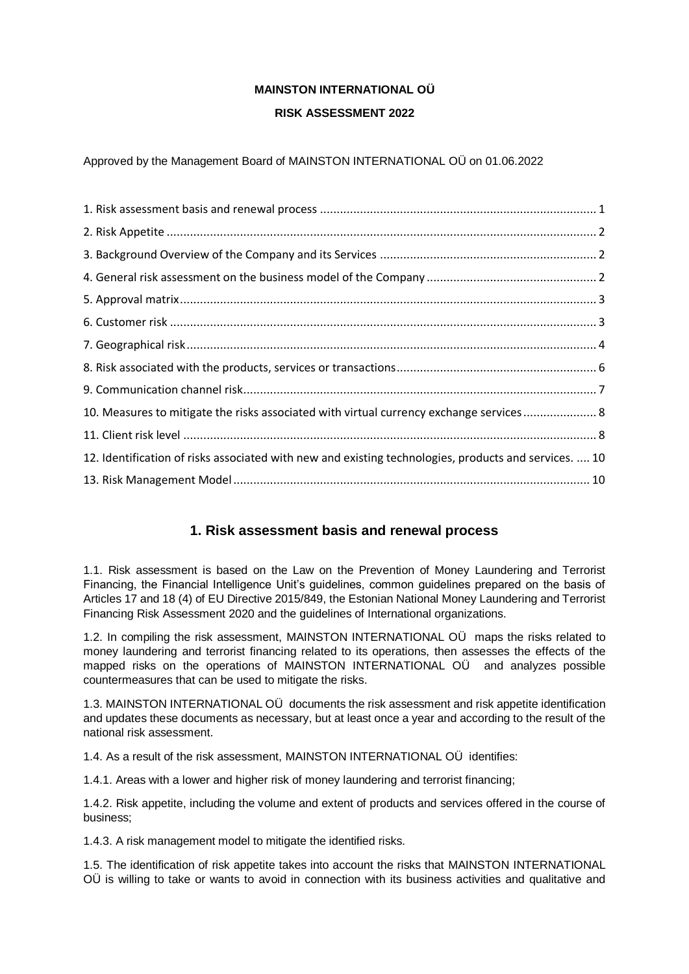# **MAINSTON INTERNATIONAL OÜ RISK ASSESSMENT 2022**

Approved by the Management Board of MAINSTON INTERNATIONAL OÜ on 01.06.2022

| 10. Measures to mitigate the risks associated with virtual currency exchange services 8               |  |
|-------------------------------------------------------------------------------------------------------|--|
|                                                                                                       |  |
| 12. Identification of risks associated with new and existing technologies, products and services.  10 |  |
|                                                                                                       |  |
|                                                                                                       |  |

# **1. Risk assessment basis and renewal process**

<span id="page-0-0"></span>1.1. Risk assessment is based on the Law on the Prevention of Money Laundering and Terrorist Financing, the Financial Intelligence Unit's guidelines, common guidelines prepared on the basis of Articles 17 and 18 (4) of EU Directive 2015/849, the Estonian National Money Laundering and Terrorist Financing Risk Assessment 2020 and the guidelines of International organizations.

1.2. In compiling the risk assessment, MAINSTON INTERNATIONAL OÜ maps the risks related to money laundering and terrorist financing related to its operations, then assesses the effects of the mapped risks on the operations of MAINSTON INTERNATIONAL OÜ and analyzes possible countermeasures that can be used to mitigate the risks.

1.3. MAINSTON INTERNATIONAL OÜ documents the risk assessment and risk appetite identification and updates these documents as necessary, but at least once a year and according to the result of the national risk assessment.

1.4. As a result of the risk assessment, MAINSTON INTERNATIONAL OÜ identifies:

1.4.1. Areas with a lower and higher risk of money laundering and terrorist financing;

1.4.2. Risk appetite, including the volume and extent of products and services offered in the course of business;

1.4.3. A risk management model to mitigate the identified risks.

1.5. The identification of risk appetite takes into account the risks that MAINSTON INTERNATIONAL OÜ is willing to take or wants to avoid in connection with its business activities and qualitative and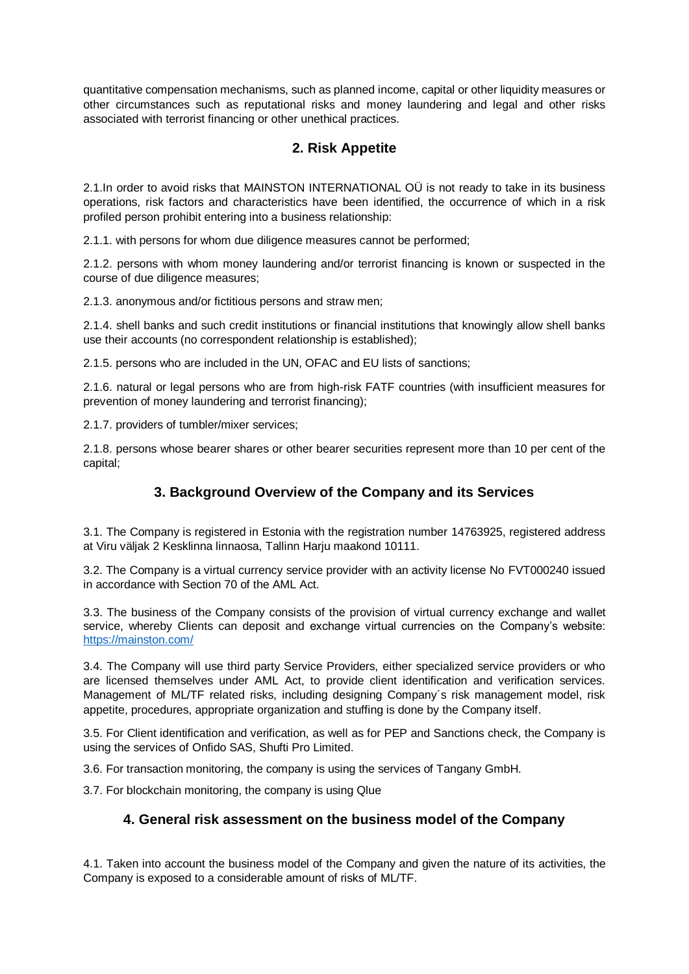quantitative compensation mechanisms, such as planned income, capital or other liquidity measures or other circumstances such as reputational risks and money laundering and legal and other risks associated with terrorist financing or other unethical practices.

## **2. Risk Appetite**

<span id="page-1-0"></span>2.1.In order to avoid risks that MAINSTON INTERNATIONAL OÜ is not ready to take in its business operations, risk factors and characteristics have been identified, the occurrence of which in a risk profiled person prohibit entering into a business relationship:

2.1.1. with persons for whom due diligence measures cannot be performed;

2.1.2. persons with whom money laundering and/or terrorist financing is known or suspected in the course of due diligence measures;

2.1.3. anonymous and/or fictitious persons and straw men;

2.1.4. shell banks and such credit institutions or financial institutions that knowingly allow shell banks use their accounts (no correspondent relationship is established);

2.1.5. persons who are included in the UN, OFAC and EU lists of sanctions;

2.1.6. natural or legal persons who are from high-risk FATF countries (with insufficient measures for prevention of money laundering and terrorist financing);

2.1.7. providers of tumbler/mixer services;

<span id="page-1-1"></span>2.1.8. persons whose bearer shares or other bearer securities represent more than 10 per cent of the capital;

## **3. Background Overview of the Company and its Services**

3.1. The Company is registered in Estonia with the registration number 14763925, registered address at Viru väljak 2 Kesklinna linnaosa, Tallinn Harju maakond 10111.

3.2. The Company is a virtual currency service provider with an activity license No FVT000240 issued in accordance with Section 70 of the AML Act.

3.3. The business of the Company consists of the provision of virtual currency exchange and wallet service, whereby Clients can deposit and exchange virtual currencies on the Company's website: <https://mainston.com/>

3.4. The Company will use third party Service Providers, either specialized service providers or who are licensed themselves under AML Act, to provide client identification and verification services. Management of ML/TF related risks, including designing Company´s risk management model, risk appetite, procedures, appropriate organization and stuffing is done by the Company itself.

3.5. For Client identification and verification, as well as for PEP and Sanctions check, the Company is using the services of Onfido SAS, Shufti Pro Limited.

3.6. For transaction monitoring, the company is using the services of Tangany GmbH.

<span id="page-1-2"></span>3.7. For blockchain monitoring, the company is using Qlue

## **4. General risk assessment on the business model of the Company**

4.1. Taken into account the business model of the Company and given the nature of its activities, the Company is exposed to a considerable amount of risks of ML/TF.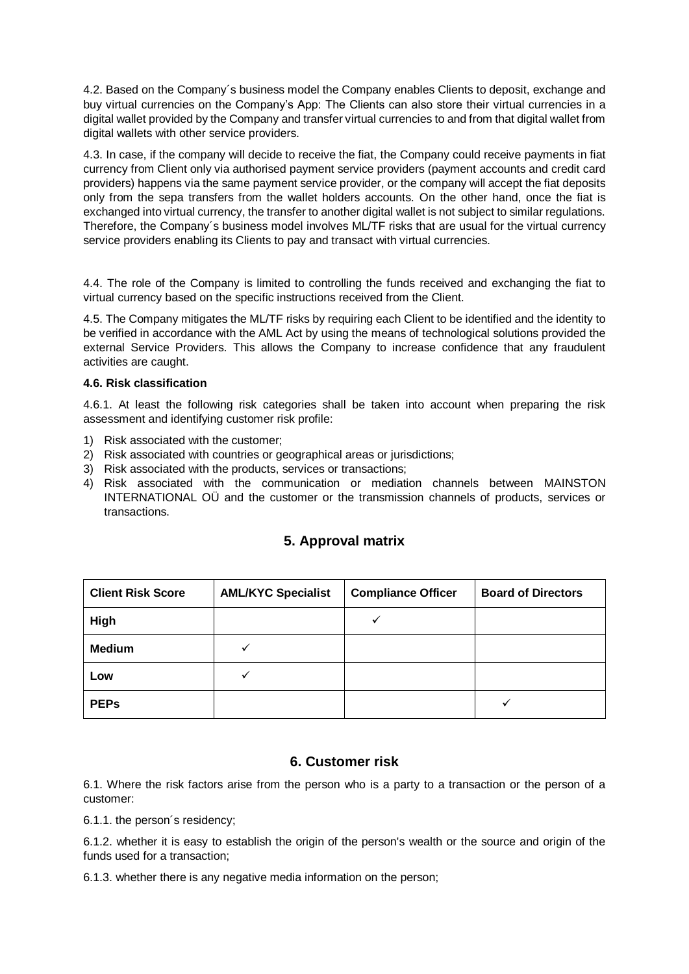4.2. Based on the Company´s business model the Company enables Clients to deposit, exchange and buy virtual currencies on the Company's App: The Clients can also store their virtual currencies in a digital wallet provided by the Company and transfer virtual currencies to and from that digital wallet from digital wallets with other service providers.

4.3. In case, if the company will decide to receive the fiat, the Company could receive payments in fiat currency from Client only via authorised payment service providers (payment accounts and credit card providers) happens via the same payment service provider, or the company will accept the fiat deposits only from the sepa transfers from the wallet holders accounts. On the other hand, once the fiat is exchanged into virtual currency, the transfer to another digital wallet is not subject to similar regulations. Therefore, the Company´s business model involves ML/TF risks that are usual for the virtual currency service providers enabling its Clients to pay and transact with virtual currencies.

4.4. The role of the Company is limited to controlling the funds received and exchanging the fiat to virtual currency based on the specific instructions received from the Client.

4.5. The Company mitigates the ML/TF risks by requiring each Client to be identified and the identity to be verified in accordance with the AML Act by using the means of technological solutions provided the external Service Providers. This allows the Company to increase confidence that any fraudulent activities are caught.

#### **4.6. Risk classification**

4.6.1. At least the following risk categories shall be taken into account when preparing the risk assessment and identifying customer risk profile:

- 1) Risk associated with the customer;
- 2) Risk associated with countries or geographical areas or jurisdictions;
- 3) Risk associated with the products, services or transactions;
- <span id="page-2-0"></span>4) Risk associated with the communication or mediation channels between MAINSTON INTERNATIONAL OÜ and the customer or the transmission channels of products, services or transactions.

| <b>Client Risk Score</b> | <b>AML/KYC Specialist</b> | <b>Compliance Officer</b> | <b>Board of Directors</b> |
|--------------------------|---------------------------|---------------------------|---------------------------|
| High                     |                           | ✓                         |                           |
| <b>Medium</b>            |                           |                           |                           |
| Low                      | v                         |                           |                           |
| <b>PEPs</b>              |                           |                           | v                         |

### **5. Approval matrix**

### **6. Customer risk**

<span id="page-2-1"></span>6.1. Where the risk factors arise from the person who is a party to a transaction or the person of a customer:

6.1.1. the person´s residency;

6.1.2. whether it is easy to establish the origin of the person's wealth or the source and origin of the funds used for a transaction;

6.1.3. whether there is any negative media information on the person;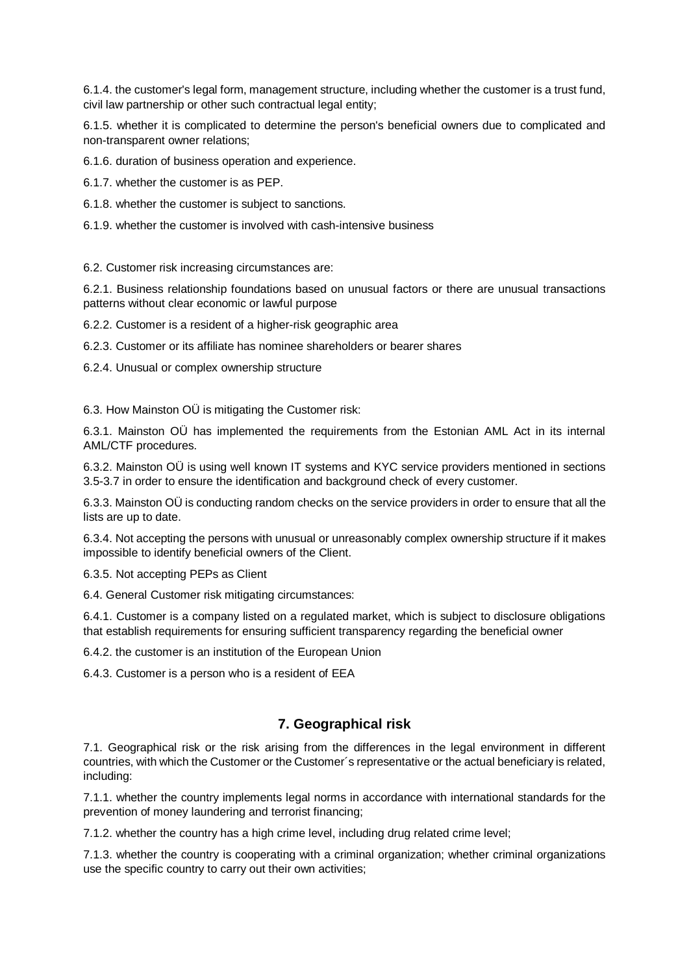6.1.4. the customer's legal form, management structure, including whether the customer is a trust fund, civil law partnership or other such contractual legal entity;

6.1.5. whether it is complicated to determine the person's beneficial owners due to complicated and non-transparent owner relations;

6.1.6. duration of business operation and experience.

6.1.7. whether the customer is as PEP.

6.1.8. whether the customer is subject to sanctions.

6.1.9. whether the customer is involved with cash-intensive business

6.2. Customer risk increasing circumstances are:

6.2.1. Business relationship foundations based on unusual factors or there are unusual transactions patterns without clear economic or lawful purpose

6.2.2. Customer is a resident of a higher-risk geographic area

6.2.3. Customer or its affiliate has nominee shareholders or bearer shares

6.2.4. Unusual or complex ownership structure

6.3. How Mainston OÜ is mitigating the Customer risk:

6.3.1. Mainston OÜ has implemented the requirements from the Estonian AML Act in its internal AML/CTF procedures.

6.3.2. Mainston OÜ is using well known IT systems and KYC service providers mentioned in sections 3.5-3.7 in order to ensure the identification and background check of every customer.

6.3.3. Mainston OÜ is conducting random checks on the service providers in order to ensure that all the lists are up to date.

6.3.4. Not accepting the persons with unusual or unreasonably complex ownership structure if it makes impossible to identify beneficial owners of the Client.

6.3.5. Not accepting PEPs as Client

6.4. General Customer risk mitigating circumstances:

6.4.1. Customer is a company listed on a regulated market, which is subject to disclosure obligations that establish requirements for ensuring sufficient transparency regarding the beneficial owner

6.4.2. the customer is an institution of the European Union

6.4.3. Customer is a person who is a resident of EEA

### **7. Geographical risk**

<span id="page-3-0"></span>7.1. Geographical risk or the risk arising from the differences in the legal environment in different countries, with which the Customer or the Customer´s representative or the actual beneficiary is related, including:

7.1.1. whether the country implements legal norms in accordance with international standards for the prevention of money laundering and terrorist financing;

7.1.2. whether the country has a high crime level, including drug related crime level;

7.1.3. whether the country is cooperating with a criminal organization; whether criminal organizations use the specific country to carry out their own activities;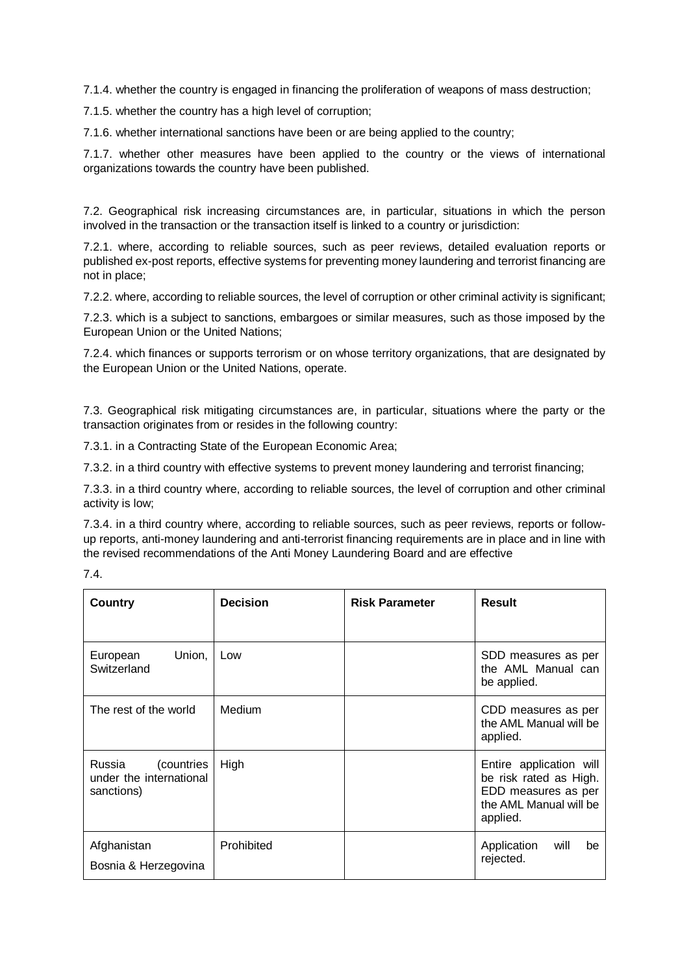7.1.4. whether the country is engaged in financing the proliferation of weapons of mass destruction;

7.1.5. whether the country has a high level of corruption;

7.1.6. whether international sanctions have been or are being applied to the country;

7.1.7. whether other measures have been applied to the country or the views of international organizations towards the country have been published.

7.2. Geographical risk increasing circumstances are, in particular, situations in which the person involved in the transaction or the transaction itself is linked to a country or jurisdiction:

7.2.1. where, according to reliable sources, such as peer reviews, detailed evaluation reports or published ex-post reports, effective systems for preventing money laundering and terrorist financing are not in place;

7.2.2. where, according to reliable sources, the level of corruption or other criminal activity is significant;

7.2.3. which is a subject to sanctions, embargoes or similar measures, such as those imposed by the European Union or the United Nations;

7.2.4. which finances or supports terrorism or on whose territory organizations, that are designated by the European Union or the United Nations, operate.

7.3. Geographical risk mitigating circumstances are, in particular, situations where the party or the transaction originates from or resides in the following country:

7.3.1. in a Contracting State of the European Economic Area;

7.3.2. in a third country with effective systems to prevent money laundering and terrorist financing;

7.3.3. in a third country where, according to reliable sources, the level of corruption and other criminal activity is low;

7.3.4. in a third country where, according to reliable sources, such as peer reviews, reports or followup reports, anti-money laundering and anti-terrorist financing requirements are in place and in line with the revised recommendations of the Anti Money Laundering Board and are effective

|  | ٠ |  |
|--|---|--|
|  |   |  |

| Country                                                       | <b>Decision</b> | <b>Risk Parameter</b> | <b>Result</b>                                                                                                  |
|---------------------------------------------------------------|-----------------|-----------------------|----------------------------------------------------------------------------------------------------------------|
|                                                               |                 |                       |                                                                                                                |
| Union,<br>European<br>Switzerland                             | Low             |                       | SDD measures as per<br>the AML Manual can<br>be applied.                                                       |
| The rest of the world                                         | Medium          |                       | CDD measures as per<br>the AML Manual will be<br>applied.                                                      |
| Russia<br>(countries<br>under the international<br>sanctions) | High            |                       | Entire application will<br>be risk rated as High.<br>EDD measures as per<br>the AML Manual will be<br>applied. |
| Afghanistan<br>Bosnia & Herzegovina                           | Prohibited      |                       | Application<br>will<br>be<br>rejected.                                                                         |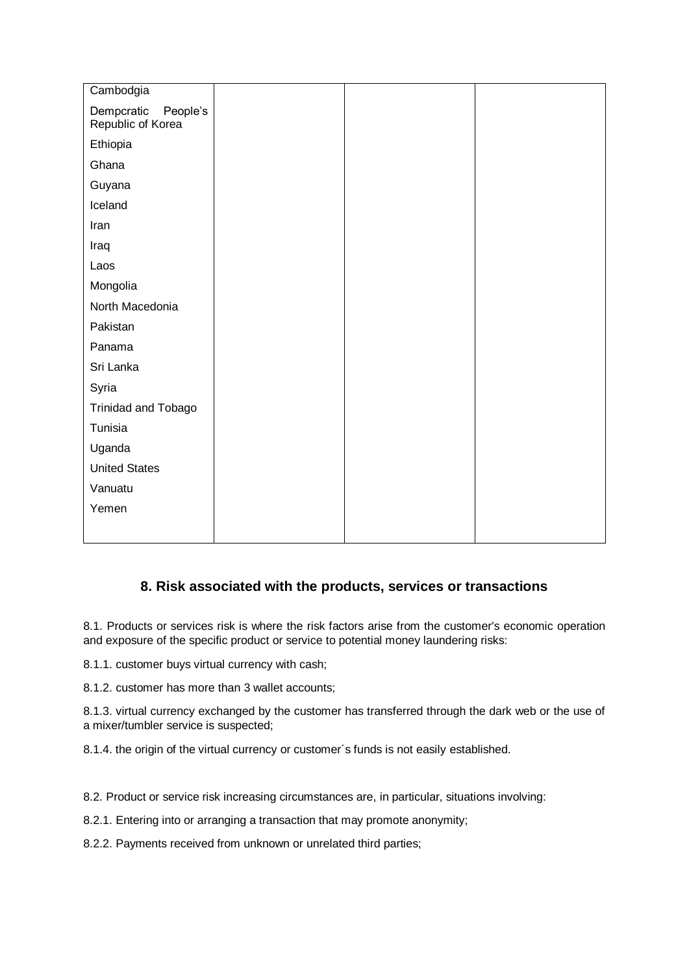| Cambodgia                                   |  |  |
|---------------------------------------------|--|--|
| Dempcratic<br>People's<br>Republic of Korea |  |  |
| Ethiopia                                    |  |  |
| Ghana                                       |  |  |
| Guyana                                      |  |  |
| Iceland                                     |  |  |
| Iran                                        |  |  |
| Iraq                                        |  |  |
| Laos                                        |  |  |
| Mongolia                                    |  |  |
| North Macedonia                             |  |  |
| Pakistan                                    |  |  |
| Panama                                      |  |  |
| Sri Lanka                                   |  |  |
| Syria                                       |  |  |
| Trinidad and Tobago                         |  |  |
| Tunisia                                     |  |  |
| Uganda                                      |  |  |
| <b>United States</b>                        |  |  |
| Vanuatu                                     |  |  |
| Yemen                                       |  |  |
|                                             |  |  |

# **8. Risk associated with the products, services or transactions**

<span id="page-5-0"></span>8.1. Products or services risk is where the risk factors arise from the customer's economic operation and exposure of the specific product or service to potential money laundering risks:

8.1.1. customer buys virtual currency with cash;

8.1.2. customer has more than 3 wallet accounts;

8.1.3. virtual currency exchanged by the customer has transferred through the dark web or the use of a mixer/tumbler service is suspected;

8.1.4. the origin of the virtual currency or customer´s funds is not easily established.

8.2. Product or service risk increasing circumstances are, in particular, situations involving:

8.2.1. Entering into or arranging a transaction that may promote anonymity;

8.2.2. Payments received from unknown or unrelated third parties;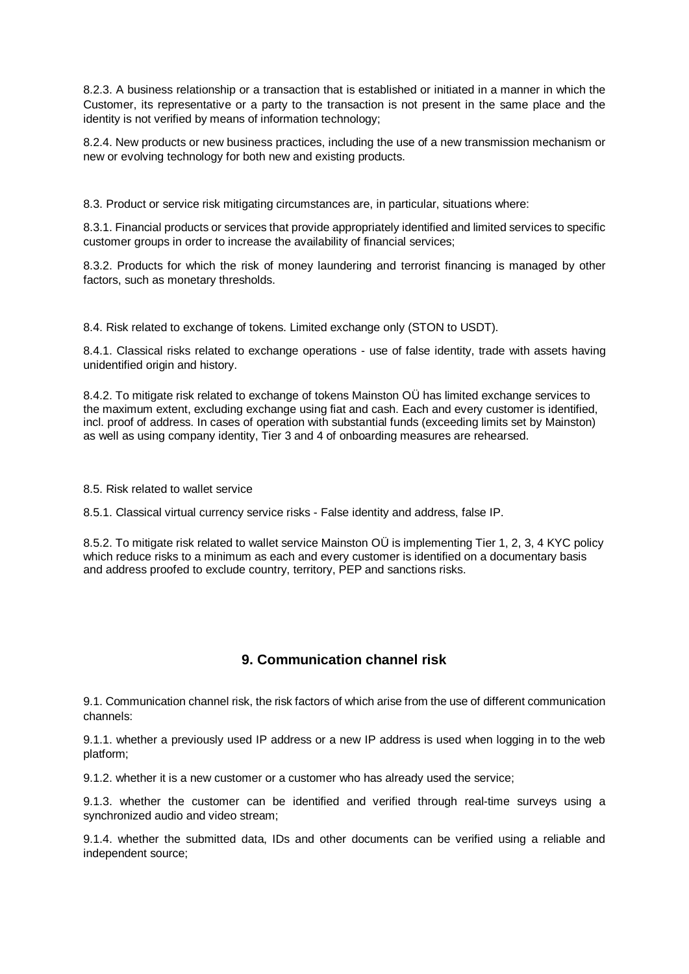8.2.3. A business relationship or a transaction that is established or initiated in a manner in which the Customer, its representative or a party to the transaction is not present in the same place and the identity is not verified by means of information technology;

8.2.4. New products or new business practices, including the use of a new transmission mechanism or new or evolving technology for both new and existing products.

8.3. Product or service risk mitigating circumstances are, in particular, situations where:

8.3.1. Financial products or services that provide appropriately identified and limited services to specific customer groups in order to increase the availability of financial services;

8.3.2. Products for which the risk of money laundering and terrorist financing is managed by other factors, such as monetary thresholds.

8.4. Risk related to exchange of tokens. Limited exchange only (STON to USDT).

8.4.1. Classical risks related to exchange operations - use of false identity, trade with assets having unidentified origin and history.

8.4.2. To mitigate risk related to exchange of tokens Mainston OÜ has limited exchange services to the maximum extent, excluding exchange using fiat and cash. Each and every customer is identified, incl. proof of address. In cases of operation with substantial funds (exceeding limits set by Mainston) as well as using company identity, Tier 3 and 4 of onboarding measures are rehearsed.

8.5. Risk related to wallet service

8.5.1. Classical virtual currency service risks - False identity and address, false IP.

8.5.2. To mitigate risk related to wallet service Mainston OÜ is implementing Tier 1, 2, 3, 4 KYC policy which reduce risks to a minimum as each and every customer is identified on a documentary basis and address proofed to exclude country, territory, PEP and sanctions risks.

## **9. Communication channel risk**

<span id="page-6-0"></span>9.1. Communication channel risk, the risk factors of which arise from the use of different communication channels:

9.1.1. whether a previously used IP address or a new IP address is used when logging in to the web platform;

9.1.2. whether it is a new customer or a customer who has already used the service;

9.1.3. whether the customer can be identified and verified through real-time surveys using a synchronized audio and video stream;

9.1.4. whether the submitted data, IDs and other documents can be verified using a reliable and independent source;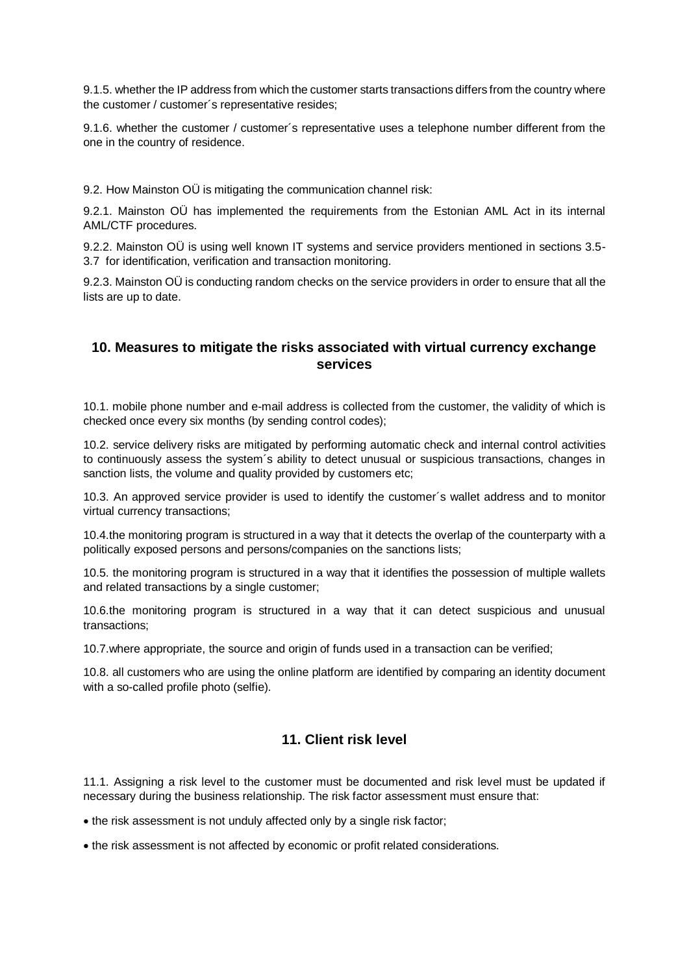9.1.5. whether the IP address from which the customer starts transactions differs from the country where the customer / customer´s representative resides;

9.1.6. whether the customer / customer´s representative uses a telephone number different from the one in the country of residence.

9.2. How Mainston OÜ is mitigating the communication channel risk:

9.2.1. Mainston OÜ has implemented the requirements from the Estonian AML Act in its internal AML/CTF procedures.

9.2.2. Mainston OÜ is using well known IT systems and service providers mentioned in sections 3.5- 3.7 for identification, verification and transaction monitoring.

9.2.3. Mainston OÜ is conducting random checks on the service providers in order to ensure that all the lists are up to date.

### <span id="page-7-0"></span>**10. Measures to mitigate the risks associated with virtual currency exchange services**

10.1. mobile phone number and e-mail address is collected from the customer, the validity of which is checked once every six months (by sending control codes);

10.2. service delivery risks are mitigated by performing automatic check and internal control activities to continuously assess the system´s ability to detect unusual or suspicious transactions, changes in sanction lists, the volume and quality provided by customers etc;

10.3. An approved service provider is used to identify the customer´s wallet address and to monitor virtual currency transactions;

10.4.the monitoring program is structured in a way that it detects the overlap of the counterparty with a politically exposed persons and persons/companies on the sanctions lists;

10.5. the monitoring program is structured in a way that it identifies the possession of multiple wallets and related transactions by a single customer;

10.6.the monitoring program is structured in a way that it can detect suspicious and unusual transactions;

10.7.where appropriate, the source and origin of funds used in a transaction can be verified;

10.8. all customers who are using the online platform are identified by comparing an identity document with a so-called profile photo (selfie).

## **11. Client risk level**

<span id="page-7-1"></span>11.1. Assigning a risk level to the customer must be documented and risk level must be updated if necessary during the business relationship. The risk factor assessment must ensure that:

the risk assessment is not unduly affected only by a single risk factor;

the risk assessment is not affected by economic or profit related considerations.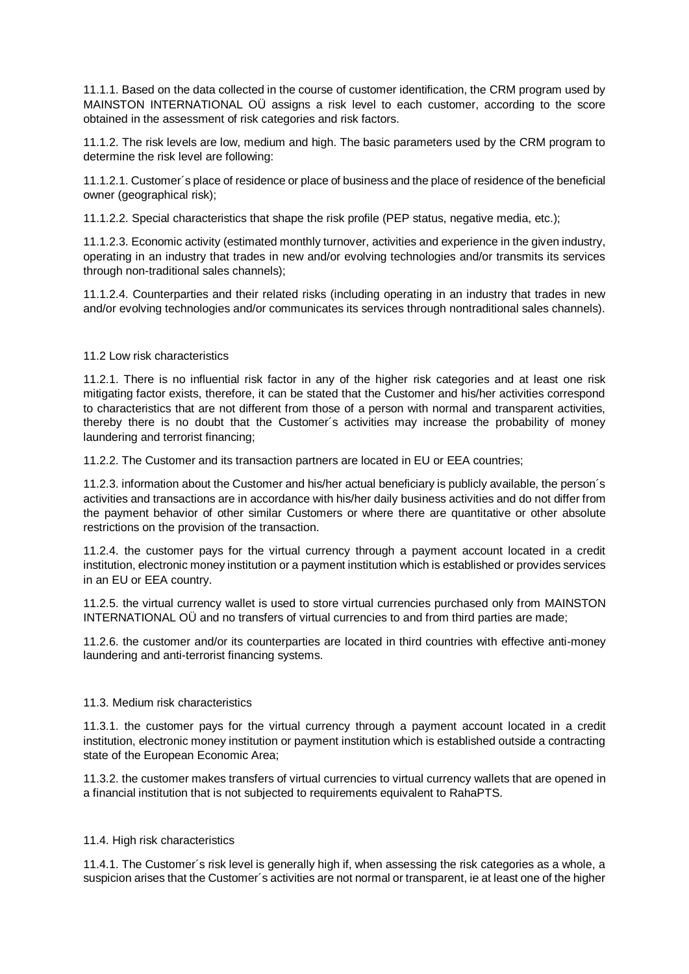11.1.1. Based on the data collected in the course of customer identification, the CRM program used by MAINSTON INTERNATIONAL OÜ assigns a risk level to each customer, according to the score obtained in the assessment of risk categories and risk factors.

11.1.2. The risk levels are low, medium and high. The basic parameters used by the CRM program to determine the risk level are following:

11.1.2.1. Customer´s place of residence or place of business and the place of residence of the beneficial owner (geographical risk);

11.1.2.2. Special characteristics that shape the risk profile (PEP status, negative media, etc.);

11.1.2.3. Economic activity (estimated monthly turnover, activities and experience in the given industry, operating in an industry that trades in new and/or evolving technologies and/or transmits its services through non-traditional sales channels);

11.1.2.4. Counterparties and their related risks (including operating in an industry that trades in new and/or evolving technologies and/or communicates its services through nontraditional sales channels).

#### 11.2 Low risk characteristics

11.2.1. There is no influential risk factor in any of the higher risk categories and at least one risk mitigating factor exists, therefore, it can be stated that the Customer and his/her activities correspond to characteristics that are not different from those of a person with normal and transparent activities, thereby there is no doubt that the Customer´s activities may increase the probability of money laundering and terrorist financing;

11.2.2. The Customer and its transaction partners are located in EU or EEA countries;

11.2.3. information about the Customer and his/her actual beneficiary is publicly available, the person´s activities and transactions are in accordance with his/her daily business activities and do not differ from the payment behavior of other similar Customers or where there are quantitative or other absolute restrictions on the provision of the transaction.

11.2.4. the customer pays for the virtual currency through a payment account located in a credit institution, electronic money institution or a payment institution which is established or provides services in an EU or EEA country.

11.2.5. the virtual currency wallet is used to store virtual currencies purchased only from MAINSTON INTERNATIONAL OÜ and no transfers of virtual currencies to and from third parties are made;

11.2.6. the customer and/or its counterparties are located in third countries with effective anti-money laundering and anti-terrorist financing systems.

#### 11.3. Medium risk characteristics

11.3.1. the customer pays for the virtual currency through a payment account located in a credit institution, electronic money institution or payment institution which is established outside a contracting state of the European Economic Area;

11.3.2. the customer makes transfers of virtual currencies to virtual currency wallets that are opened in a financial institution that is not subjected to requirements equivalent to RahaPTS.

#### 11.4. High risk characteristics

11.4.1. The Customer´s risk level is generally high if, when assessing the risk categories as a whole, a suspicion arises that the Customer´s activities are not normal or transparent, ie at least one of the higher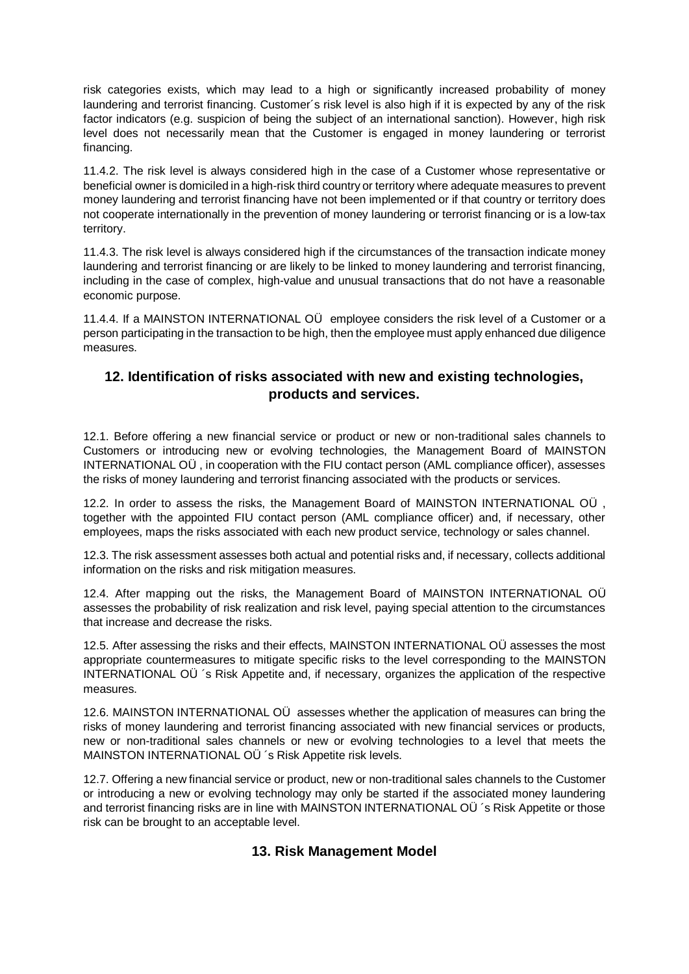risk categories exists, which may lead to a high or significantly increased probability of money laundering and terrorist financing. Customer´s risk level is also high if it is expected by any of the risk factor indicators (e.g. suspicion of being the subject of an international sanction). However, high risk level does not necessarily mean that the Customer is engaged in money laundering or terrorist financing.

11.4.2. The risk level is always considered high in the case of a Customer whose representative or beneficial owner is domiciled in a high-risk third country or territory where adequate measures to prevent money laundering and terrorist financing have not been implemented or if that country or territory does not cooperate internationally in the prevention of money laundering or terrorist financing or is a low-tax territory.

11.4.3. The risk level is always considered high if the circumstances of the transaction indicate money laundering and terrorist financing or are likely to be linked to money laundering and terrorist financing, including in the case of complex, high-value and unusual transactions that do not have a reasonable economic purpose.

11.4.4. If a MAINSTON INTERNATIONAL OÜ employee considers the risk level of a Customer or a person participating in the transaction to be high, then the employee must apply enhanced due diligence measures.

## <span id="page-9-0"></span>**12. Identification of risks associated with new and existing technologies, products and services.**

12.1. Before offering a new financial service or product or new or non-traditional sales channels to Customers or introducing new or evolving technologies, the Management Board of MAINSTON INTERNATIONAL OÜ , in cooperation with the FIU contact person (AML compliance officer), assesses the risks of money laundering and terrorist financing associated with the products or services.

12.2. In order to assess the risks, the Management Board of MAINSTON INTERNATIONAL OÜ , together with the appointed FIU contact person (AML compliance officer) and, if necessary, other employees, maps the risks associated with each new product service, technology or sales channel.

12.3. The risk assessment assesses both actual and potential risks and, if necessary, collects additional information on the risks and risk mitigation measures.

12.4. After mapping out the risks, the Management Board of MAINSTON INTERNATIONAL OÜ assesses the probability of risk realization and risk level, paying special attention to the circumstances that increase and decrease the risks.

12.5. After assessing the risks and their effects, MAINSTON INTERNATIONAL OÜ assesses the most appropriate countermeasures to mitigate specific risks to the level corresponding to the MAINSTON INTERNATIONAL OÜ ´s Risk Appetite and, if necessary, organizes the application of the respective measures.

12.6. MAINSTON INTERNATIONAL OÜ assesses whether the application of measures can bring the risks of money laundering and terrorist financing associated with new financial services or products, new or non-traditional sales channels or new or evolving technologies to a level that meets the MAINSTON INTERNATIONAL OÜ ´s Risk Appetite risk levels.

<span id="page-9-1"></span>12.7. Offering a new financial service or product, new or non-traditional sales channels to the Customer or introducing a new or evolving technology may only be started if the associated money laundering and terrorist financing risks are in line with MAINSTON INTERNATIONAL OÜ ´s Risk Appetite or those risk can be brought to an acceptable level.

## **13. Risk Management Model**